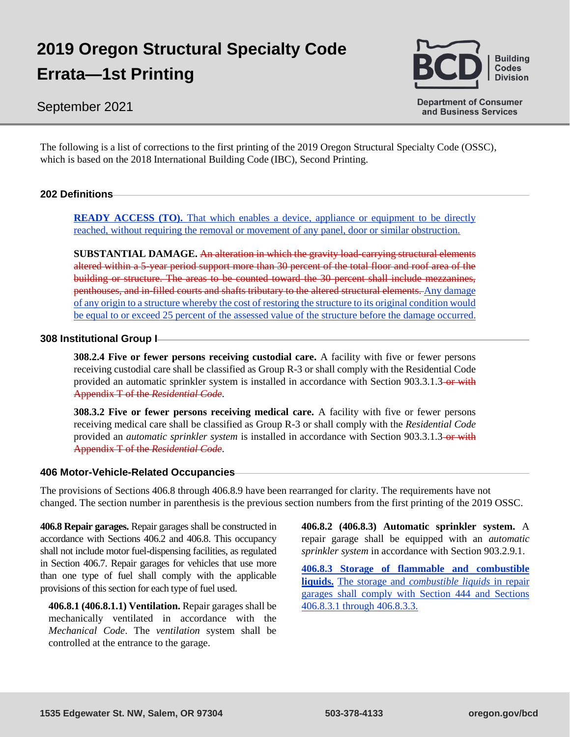# **2019 Oregon Structural Specialty Code Errata—1st Printing**

# **Building Codes Division**

# September 2021

**Department of Consumer** and Business Services

The following is a list of corrections to the first printing of the 2019 Oregon Structural Specialty Code (OSSC), which is based on the 2018 International Building Code (IBC), Second Printing.

# **202 Definitions**

**READY ACCESS (TO).** That which enables a device, appliance or equipment to be directly reached, without requiring the removal or movement of any panel, door or similar obstruction.

**SUBSTANTIAL DAMAGE.** An alteration in which the gravity load-carrying structural elements altered within a 5-year period support more than 30 percent of the total floor and roof area of the building or structure. The areas to be counted toward the 30 percent shall include mezzanines, penthouses, and in-filled courts and shafts tributary to the altered structural elements. Any damage of any origin to a structure whereby the cost of restoring the structure to its original condition would be equal to or exceed 25 percent of the assessed value of the structure before the damage occurred.

#### **308 Institutional Group I**

**308.2.4 Five or fewer persons receiving custodial care.** A facility with five or fewer persons receiving custodial care shall be classified as Group R-3 or shall comply with the Residential Code provided an automatic sprinkler system is installed in accordance with Section 903.3.1.3 or with Appendix T of the *Residential Code*.

**308.3.2 Five or fewer persons receiving medical care.** A facility with five or fewer persons receiving medical care shall be classified as Group R-3 or shall comply with the *Residential Code*  provided an *automatic sprinkler system* is installed in accordance with Section 903.3.1.3-or with Appendix T of the *Residential Code*.

#### **406 Motor-Vehicle-Related Occupancies**

The provisions of Sections 406.8 through 406.8.9 have been rearranged for clarity. The requirements have not changed. The section number in parenthesis is the previous section numbers from the first printing of the 2019 OSSC.

**406.8 Repair garages.** Repair garages shall be constructed in accordance with Sections 406.2 and 406.8. This occupancy shall not include motor fuel-dispensing facilities, as regulated in Section 406.7. Repair garages for vehicles that use more than one type of fuel shall comply with the applicable provisions of this section for each type of fuel used.

**406.8.1 (406.8.1.1) Ventilation.** Repair garages shall be mechanically ventilated in accordance with the *Mechanical Code*. The *ventilation* system shall be controlled at the entrance to the garage.

**406.8.2 (406.8.3) Automatic sprinkler system.** A repair garage shall be equipped with an *automatic sprinkler system* in accordance with Section 903.2.9.1.

**406.8.3 Storage of flammable and combustible liquids.** The storage and *combustible liquids* in repair garages shall comply with Section 444 and Sections 406.8.3.1 through 406.8.3.3.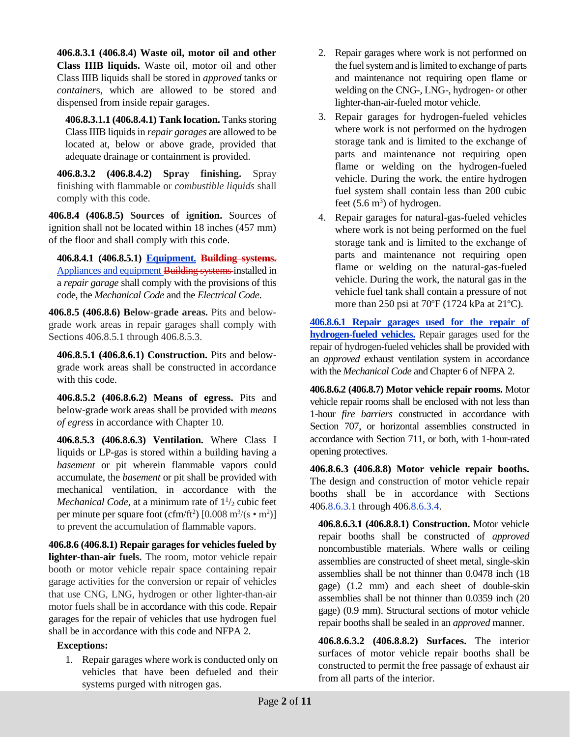**406.8.3.1 (406.8.4) Waste oil, motor oil and other Class IIIB liquids.** Waste oil, motor oil and other Class IIIB liquids shall be stored in *approved* tanks or *container*s, which are allowed to be stored and dispensed from inside repair garages.

**406.8.3.1.1 (406.8.4.1) Tank location.** Tanks storing Class IIIB liquids in *repair garages* are allowed to be located at, below or above grade, provided that adequate drainage or containment is provided.

**406.8.3.2 (406.8.4.2) Spray finishing.** Spray finishing with flammable or *combustible liquids* shall comply with this code.

**406.8.4 (406.8.5) Sources of ignition.** Sources of ignition shall not be located within 18 inches (457 mm) of the floor and shall comply with this code.

**406.8.4.1 (406.8.5.1) Equipment. Building systems.** Appliances and equipment Building systems installed in a *repair garage* shall comply with the provisions of this code, the *Mechanical Code* and the *Electrical Code*.

**406.8.5 (406.8.6) Below-grade areas.** Pits and belowgrade work areas in repair garages shall comply with Sections 406.8.5.1 through 406.8.5.3.

**406.8.5.1 (406.8.6.1) Construction.** Pits and belowgrade work areas shall be constructed in accordance with this code.

**406.8.5.2 (406.8.6.2) Means of egress.** Pits and below-grade work areas shall be provided with *means of egress* in accordance with Chapter 10.

**406.8.5.3 (406.8.6.3) Ventilation.** Where Class I liquids or LP-gas is stored within a building having a *basement* or pit wherein flammable vapors could accumulate, the *basement* or pit shall be provided with mechanical ventilation, in accordance with the *Mechanical Code*, at a minimum rate of  $1\frac{1}{2}$  cubic feet per minute per square foot (cfm/ft<sup>2</sup>) [0.008 m<sup>3</sup>/(s  $\cdot$  m<sup>2</sup>)] to prevent the accumulation of flammable vapors.

**406.8.6 (406.8.1) Repair garages for vehicles fueled by lighter-than-air fuels.** The room, motor vehicle repair booth or motor vehicle repair space containing repair garage activities for the conversion or repair of vehicles that use CNG, LNG, hydrogen or other lighter-than-air motor fuels shall be in accordance with this code. Repair garages for the repair of vehicles that use hydrogen fuel shall be in accordance with this code and NFPA 2.

#### **Exceptions:**

1. Repair garages where work is conducted only on vehicles that have been defueled and their systems purged with nitrogen gas.

- 2. Repair garages where work is not performed on the fuel system and is limited to exchange of parts and maintenance not requiring open flame or welding on the CNG-, LNG-, hydrogen- or other lighter-than-air-fueled motor vehicle.
- 3. Repair garages for hydrogen-fueled vehicles where work is not performed on the hydrogen storage tank and is limited to the exchange of parts and maintenance not requiring open flame or welding on the hydrogen-fueled vehicle. During the work, the entire hydrogen fuel system shall contain less than 200 cubic feet  $(5.6 \text{ m}^3)$  of hydrogen.
- 4. Repair garages for natural-gas-fueled vehicles where work is not being performed on the fuel storage tank and is limited to the exchange of parts and maintenance not requiring open flame or welding on the natural-gas-fueled vehicle. During the work, the natural gas in the vehicle fuel tank shall contain a pressure of not more than 250 psi at 70ºF (1724 kPa at 21ºC).

**406.8.6.1 Repair garages used for the repair of hydrogen-fueled vehicles.** Repair garages used for the repair of hydrogen-fueled vehicles shall be provided with an *approved* exhaust ventilation system in accordance with the *Mechanical Code* and Chapter 6 of NFPA 2.

**406.8.6.2 (406.8.7) Motor vehicle repair rooms.** Motor vehicle repair rooms shall be enclosed with not less than 1-hour *fire barriers* constructed in accordance with Section 707, or horizontal assemblies constructed in accordance with Section 711, or both, with 1-hour-rated opening protectives.

**406.8.6.3 (406.8.8) Motor vehicle repair booths.**  The design and construction of motor vehicle repair booths shall be in accordance with Sections 406.8.6.3.1 through 406.8.6.3.4.

**406.8.6.3.1 (406.8.8.1) Construction.** Motor vehicle repair booths shall be constructed of *approved*  noncombustible materials. Where walls or ceiling assemblies are constructed of sheet metal, single-skin assemblies shall be not thinner than 0.0478 inch (18 gage) (1.2 mm) and each sheet of double-skin assemblies shall be not thinner than 0.0359 inch (20 gage) (0.9 mm). Structural sections of motor vehicle repair booths shall be sealed in an *approved* manner.

**406.8.6.3.2 (406.8.8.2) Surfaces.** The interior surfaces of motor vehicle repair booths shall be constructed to permit the free passage of exhaust air from all parts of the interior.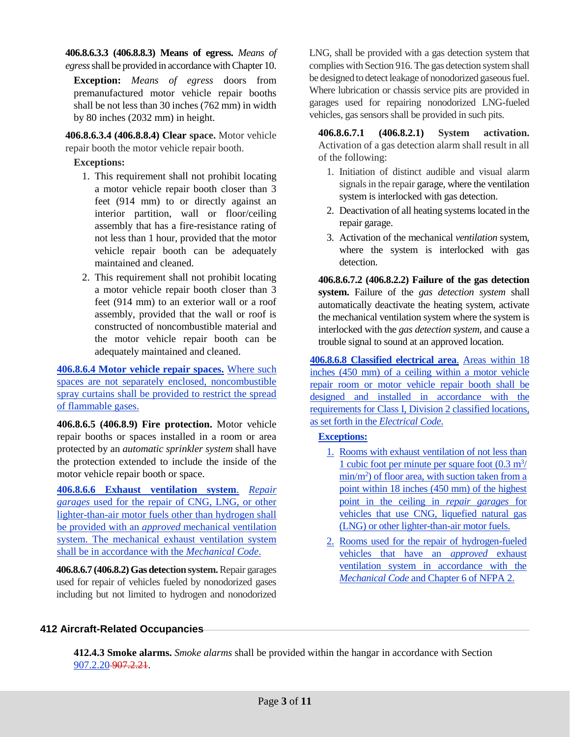**406.8.6.3.3 (406.8.8.3) Means of egress.** *Means of egress* shall be provided in accordance with Chapter 10.

**Exception:** *Means of egress* doors from premanufactured motor vehicle repair booths shall be not less than 30 inches (762 mm) in width by 80 inches (2032 mm) in height.

**406.8.6.3.4 (406.8.8.4) Clear space.** Motor vehicle repair booth the motor vehicle repair booth.

# **Exceptions:**

- 1. This requirement shall not prohibit locating a motor vehicle repair booth closer than 3 feet (914 mm) to or directly against an interior partition, wall or floor/ceiling assembly that has a fire-resistance rating of not less than 1 hour, provided that the motor vehicle repair booth can be adequately maintained and cleaned.
- 2. This requirement shall not prohibit locating a motor vehicle repair booth closer than 3 feet (914 mm) to an exterior wall or a roof assembly, provided that the wall or roof is constructed of noncombustible material and the motor vehicle repair booth can be adequately maintained and cleaned.

**406.8.6.4 Motor vehicle repair spaces.** Where such spaces are not separately enclosed, noncombustible spray curtains shall be provided to restrict the spread of flammable gases.

**406.8.6.5 (406.8.9) Fire protection.** Motor vehicle repair booths or spaces installed in a room or area protected by an *automatic sprinkler system* shall have the protection extended to include the inside of the motor vehicle repair booth or space.

**406.8.6.6 Exhaust ventilation system**. *Repair garages* used for the repair of CNG, LNG, or other lighter-than-air motor fuels other than hydrogen shall be provided with an *approved* mechanical ventilation system. The mechanical exhaust ventilation system shall be in accordance with the *Mechanical Code*.

**406.8.6.7 (406.8.2) Gas detection system.** Repair garages used for repair of vehicles fueled by nonodorized gases including but not limited to hydrogen and nonodorized LNG, shall be provided with a gas detection system that complies with Section 916. The gas detection system shall be designed to detect leakage of nonodorized gaseous fuel. Where lubrication or chassis service pits are provided in garages used for repairing nonodorized LNG-fueled vehicles, gas sensors shall be provided in such pits.

**406.8.6.7.1 (406.8.2.1) System activation.**  Activation of a gas detection alarm shall result in all of the following:

- 1. Initiation of distinct audible and visual alarm signals in the repair garage, where the ventilation system is interlocked with gas detection.
- 2. Deactivation of all heating systems located in the repair garage.
- 3. Activation of the mechanical *ventilation* system, where the system is interlocked with gas detection.

**406.8.6.7.2 (406.8.2.2) Failure of the gas detection system.** Failure of the *gas detection system* shall automatically deactivate the heating system, activate the mechanical ventilation system where the system is interlocked with the *gas detection system*, and cause a trouble signal to sound at an approved location.

**406.8.6.8 Classified electrical area**. Areas within 18 inches (450 mm) of a ceiling within a motor vehicle repair room or motor vehicle repair booth shall be designed and installed in accordance with the requirements for Class I, Division 2 classified locations, as set forth in the *Electrical Code*.

#### **Exceptions:**

- 1. Rooms with exhaust ventilation of not less than 1 cubic foot per minute per square foot  $(0.3 \text{ m}^3)$ min/m<sup>2</sup>) of floor area, with suction taken from a point within 18 inches (450 mm) of the highest point in the ceiling in *repair garages* for vehicles that use CNG, liquefied natural gas (LNG) or other lighter-than-air motor fuels.
- 2. Rooms used for the repair of hydrogen-fueled vehicles that have an *approved* exhaust ventilation system in accordance with the *Mechanical Code* and Chapter 6 of NFPA 2.

# **412 Aircraft-Related Occupancies**

**412.4.3 Smoke alarms.** *Smoke alarms* shall be provided within the hangar in accordance with Section 907.2.20 907.2.21.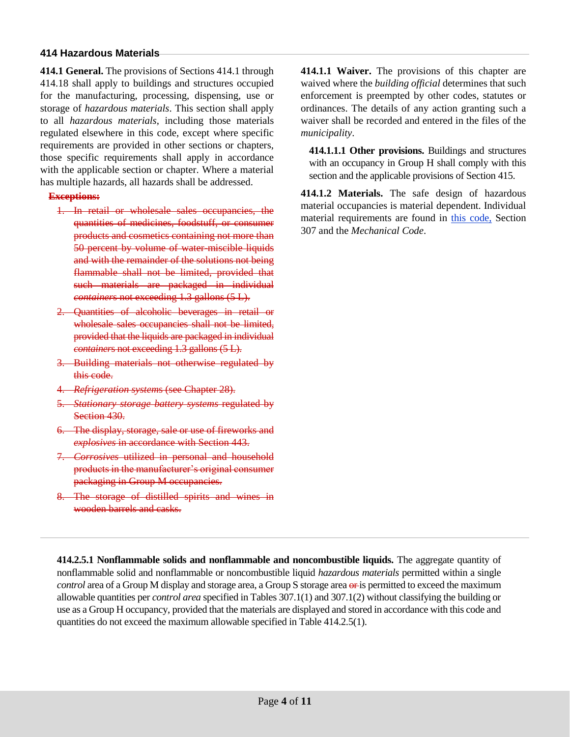# **414 Hazardous Materials**

**414.1 General.** The provisions of Sections 414.1 through 414.18 shall apply to buildings and structures occupied for the manufacturing, processing, dispensing, use or storage of *hazardous materials*. This section shall apply to all *hazardous materials*, including those materials regulated elsewhere in this code, except where specific requirements are provided in other sections or chapters, those specific requirements shall apply in accordance with the applicable section or chapter. Where a material has multiple hazards, all hazards shall be addressed.

# **Exceptions:**

- 1. In retail or wholesale sales occupancies, the quantities of medicines, foodstuff, or consumer products and cosmetics containing not more than 50 percent by volume of water-miscible liquids and with the remainder of the solutions not being flammable shall not be limited, provided that such materials are packaged in individual *container*s not exceeding 1.3 gallons (5 L).
- 2. Quantities of alcoholic beverages in retail or wholesale sales occupancies shall not be limited, provided that the liquids are packaged in individual *container*s not exceeding 1.3 gallons (5 L).
- 3. Building materials not otherwise regulated by this code.
- 4. *Refrigeration system*s (see Chapter 28).
- 5. *Stationary storage battery systems* regulated by Section 430.
- 6. The display, storage, sale or use of fireworks and *explosives* in accordance with Section 443.
- 7. *Corrosives* utilized in personal and household products in the manufacturer's original consumer packaging in Group M occupancies.
- 8. The storage of distilled spirits and wines in wooden barrels and casks.

**414.1.1 Waiver.** The provisions of this chapter are waived where the *building official* determines that such enforcement is preempted by other codes, statutes or ordinances. The details of any action granting such a waiver shall be recorded and entered in the files of the *municipality*.

**414.1.1.1 Other provisions.** Buildings and structures with an occupancy in Group H shall comply with this section and the applicable provisions of Section 415.

**414.1.2 Materials.** The safe design of hazardous material occupancies is material dependent. Individual material requirements are found in this code, Section 307 and the *Mechanical Code*.

**414.2.5.1 Nonflammable solids and nonflammable and noncombustible liquids.** The aggregate quantity of nonflammable solid and nonflammable or noncombustible liquid *hazardous materials* permitted within a single *control* area of a Group M display and storage area, a Group S storage area  $\Theta$  is permitted to exceed the maximum allowable quantities per *control area* specified in Tables 307.1(1) and 307.1(2) without classifying the building or use as a Group H occupancy, provided that the materials are displayed and stored in accordance with this code and quantities do not exceed the maximum allowable specified in Table 414.2.5(1).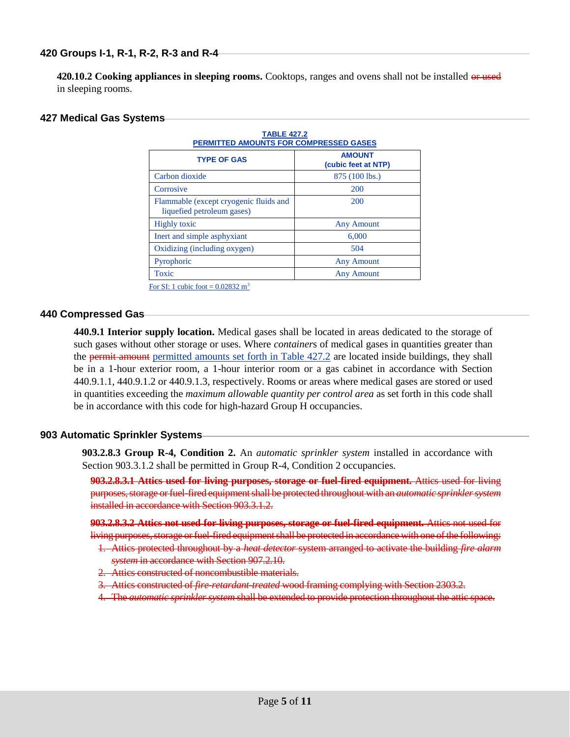420.10.2 Cooking appliances in sleeping rooms. Cooktops, ranges and ovens shall not be installed or used in sleeping rooms.

#### **427 Medical Gas Systems**

| <b>TABLE 427.2</b><br><b>PERMITTED AMOUNTS FOR COMPRESSED GASES</b>  |                                      |  |  |  |
|----------------------------------------------------------------------|--------------------------------------|--|--|--|
| <b>TYPE OF GAS</b>                                                   | <b>AMOUNT</b><br>(cubic feet at NTP) |  |  |  |
| Carbon dioxide                                                       | 875 (100 lbs.)                       |  |  |  |
| Corrosive                                                            | 200                                  |  |  |  |
| Flammable (except cryogenic fluids and<br>liquefied petroleum gases) | 200                                  |  |  |  |
| <b>Highly toxic</b>                                                  | <b>Any Amount</b>                    |  |  |  |
| Inert and simple asphyxiant                                          | 6,000                                |  |  |  |
| Oxidizing (including oxygen)                                         | 504                                  |  |  |  |
| Pyrophoric                                                           | <b>Any Amount</b>                    |  |  |  |
| Toxic<br>$\alpha + 1$ $\beta$ $\alpha + 2$ $\alpha + 3$              | <b>Any Amount</b>                    |  |  |  |

For SI: 1 cubic foot =  $0.02832 \text{ m}^3$ 

#### **440 Compressed Gas**

**440.9.1 Interior supply location.** Medical gases shall be located in areas dedicated to the storage of such gases without other storage or uses. Where *container*s of medical gases in quantities greater than the permit amount permitted amounts set forth in Table 427.2 are located inside buildings, they shall be in a 1-hour exterior room, a 1-hour interior room or a gas cabinet in accordance with Section 440.9.1.1, 440.9.1.2 or 440.9.1.3, respectively. Rooms or areas where medical gases are stored or used in quantities exceeding the *maximum allowable quantity per control area* as set forth in this code shall be in accordance with this code for high-hazard Group H occupancies.

#### **903 Automatic Sprinkler Systems**

**903.2.8.3 Group R-4, Condition 2.** An *automatic sprinkler system* installed in accordance with Section 903.3.1.2 shall be permitted in Group R-4, Condition 2 occupancies.

**903.2.8.3.1 Attics used for living purposes, storage or fuel-fired equipment.** Attics used for living purposes, storage or fuel-fired equipment shall be protected throughout with an *automatic sprinkler system*  installed in accordance with Section 903.3.1.2.

**903.2.8.3.2 Attics not used for living purposes, storage or fuel-fired equipment.** Attics not used for living purposes, storage or fuel-fired equipment shall be protected in accordance with one of the following: 1. Attics protected throughout by a *heat detector* system arranged to activate the building *fire alarm* 

- *system* in accordance with Section 907.2.10.
- 2. Attics constructed of noncombustible materials.
- 3. Attics constructed of *fire-retardant-treated* wood framing complying with Section 2303.2.
- 4. The *automatic sprinkler system* shall be extended to provide protection throughout the attic space.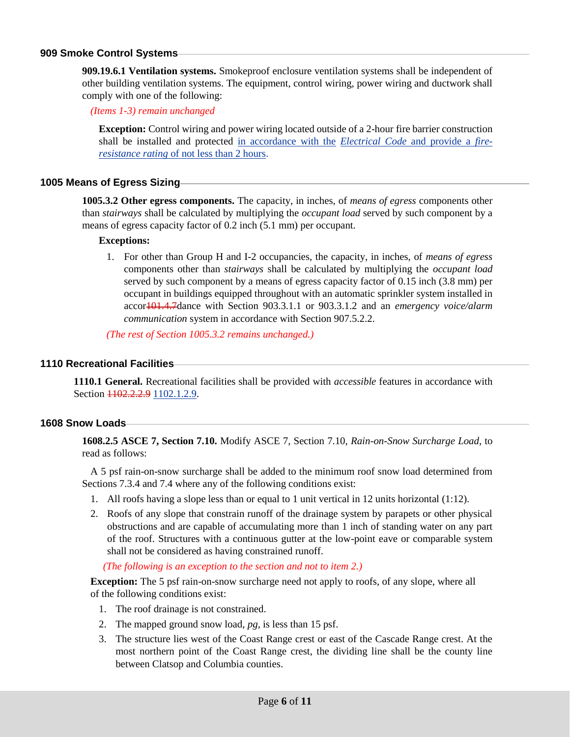#### **909 Smoke Control Systems**

**909.19.6.1 Ventilation systems.** Smokeproof enclosure ventilation systems shall be independent of other building ventilation systems. The equipment, control wiring, power wiring and ductwork shall comply with one of the following:

*(Items 1-3) remain unchanged*

**Exception:** Control wiring and power wiring located outside of a 2-hour fire barrier construction shall be installed and protected in accordance with the *Electrical Code* and provide a *fireresistance rating* of not less than 2 hours.

#### **1005 Means of Egress Sizing**

**1005.3.2 Other egress components.** The capacity, in inches, of *means of egress* components other than *stairways* shall be calculated by multiplying the *occupant load* served by such component by a means of egress capacity factor of 0.2 inch (5.1 mm) per occupant.

#### **Exceptions:**

1. For other than Group H and I-2 occupancies, the capacity, in inches, of *means of egress*  components other than *stairways* shall be calculated by multiplying the *occupant load*  served by such component by a means of egress capacity factor of 0.15 inch (3.8 mm) per occupant in buildings equipped throughout with an automatic sprinkler system installed in accor101.4.7dance with Section 903.3.1.1 or 903.3.1.2 and an *emergency voice/alarm communication* system in accordance with Section 907.5.2.2.

*(The rest of Section 1005.3.2 remains unchanged.)*

#### **1110 Recreational Facilities**

**1110.1 General.** Recreational facilities shall be provided with *accessible* features in accordance with Section  $1102.2.2.9$  1102.1.2.9.

#### **1608 Snow Loads**

**1608.2.5 ASCE 7, Section 7.10.** Modify ASCE 7, Section 7.10, *Rain-on-Snow Surcharge Load,* to read as follows:

A 5 psf rain-on-snow surcharge shall be added to the minimum roof snow load determined from Sections 7.3.4 and 7.4 where any of the following conditions exist:

- 1. All roofs having a slope less than or equal to 1 unit vertical in 12 units horizontal (1:12).
- 2. Roofs of any slope that constrain runoff of the drainage system by parapets or other physical obstructions and are capable of accumulating more than 1 inch of standing water on any part of the roof. Structures with a continuous gutter at the low-point eave or comparable system shall not be considered as having constrained runoff.

*(The following is an exception to the section and not to item 2.)*

**Exception:** The 5 psf rain-on-snow surcharge need not apply to roofs, of any slope, where all of the following conditions exist:

- 1. The roof drainage is not constrained.
- 2. The mapped ground snow load, *pg*, is less than 15 psf.
- 3. The structure lies west of the Coast Range crest or east of the Cascade Range crest. At the most northern point of the Coast Range crest, the dividing line shall be the county line between Clatsop and Columbia counties.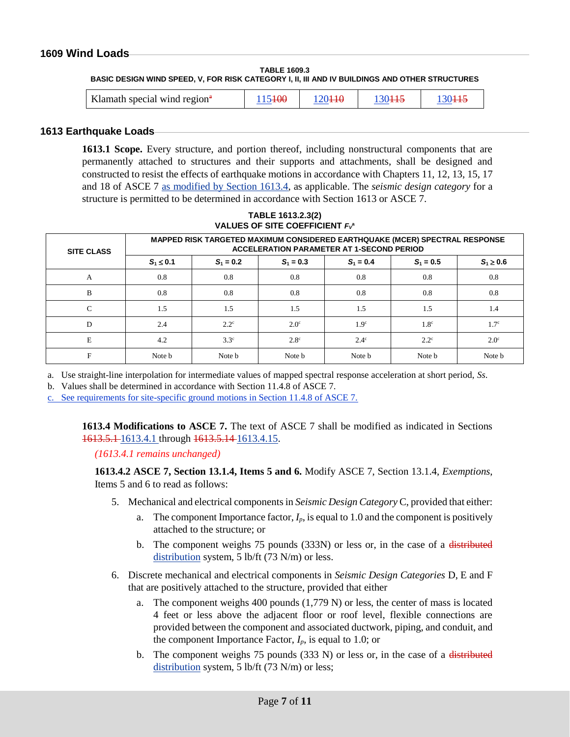# **1609 Wind Loads**

**TABLE 1609.3 BASIC DESIGN WIND SPEED, V, FOR RISK CATEGORY I, II, III AND IV BUILDINGS AND OTHER STRUCTURES**

| Klamath special wind region <sup>#</sup> | $-1.7$ |  |  |  |
|------------------------------------------|--------|--|--|--|
|------------------------------------------|--------|--|--|--|

#### **1613 Earthquake Loads**

**1613.1 Scope.** Every structure, and portion thereof, including nonstructural components that are permanently attached to structures and their supports and attachments, shall be designed and constructed to resist the effects of earthquake motions in accordance with Chapters 11, 12, 13, 15, 17 and 18 of ASCE 7 as modified by Section 1613.4, as applicable. The *seismic design category* for a structure is permitted to be determined in accordance with Section 1613 or ASCE 7.

| <b>SITE CLASS</b> | MAPPED RISK TARGETED MAXIMUM CONSIDERED EARTHQUAKE (MCER) SPECTRAL RESPONSE<br><b>ACCELERATION PARAMETER AT 1-SECOND PERIOD</b> |               |             |                  |                  |                  |
|-------------------|---------------------------------------------------------------------------------------------------------------------------------|---------------|-------------|------------------|------------------|------------------|
|                   | $S_1 \le 0.1$                                                                                                                   | $S_1 = 0.2$   | $S_1 = 0.3$ | $S_1 = 0.4$      | $S_1 = 0.5$      | $S_1 \geq 0.6$   |
| A                 | 0.8                                                                                                                             | 0.8           | 0.8         | 0.8              | 0.8              | 0.8              |
| B                 | 0.8                                                                                                                             | 0.8           | 0.8         | 0.8              | 0.8              | 0.8              |
| $\mathcal{C}$     | 1.5                                                                                                                             | 1.5           | 1.5         | 1.5              | 1.5              | 1.4              |
| D                 | 2.4                                                                                                                             | $2.2^{\circ}$ | $2.0^\circ$ | 1.9 <sup>c</sup> | 1.8 <sup>c</sup> | 1.7 <sup>c</sup> |
| E                 | 4.2                                                                                                                             | $3.3^\circ$   | $2.8^\circ$ | $2.4^\circ$      | $2.2^{\circ}$    | $2.0^\circ$      |
| F                 | Note b                                                                                                                          | Note b        | Note b      | Note b           | Note b           | Note b           |

**TABLE 1613.2.3(2) VALUES OF SITE COEFFICIENT** *F<sup>V</sup>* **a**

a. Use straight-line interpolation for intermediate values of mapped spectral response acceleration at short period, *Ss*.

b. Values shall be determined in accordance with Section 11.4.8 of ASCE 7.

c. See requirements for site-specific ground motions in Section 11.4.8 of ASCE 7.

**1613.4 Modifications to ASCE 7.** The text of ASCE 7 shall be modified as indicated in Sections 1613.5.1 1613.4.1 through 1613.5.14 1613.4.15.

*(1613.4.1 remains unchanged)*

**[1613.4.2](https://www.oregon.gov/bcd/codes-stand/code-adoption/Documents/st-19-SEAO-14-proposal.pdf) ASCE 7, Section 13.1.4, Items 5 and 6.** Modify ASCE 7, Section 13.1.4, *Exemptions*, Items 5 and 6 to read as follows:

- 5. Mechanical and electrical components in *Seismic Design Category* C, provided that either:
	- a. The component Importance factor,  $I_p$ , is equal to 1.0 and the component is positively attached to the structure; or
	- b. The component weighs 75 pounds (333N) or less or, in the case of a distributed distribution system, 5 lb/ft (73 N/m) or less.
- 6. Discrete mechanical and electrical components in *Seismic Design Categories* D, E and F that are positively attached to the structure, provided that either
	- a. The component weighs 400 pounds (1,779 N) or less, the center of mass is located 4 feet or less above the adjacent floor or roof level, flexible connections are provided between the component and associated ductwork, piping, and conduit, and the component Importance Factor,  $I_p$ , is equal to 1.0; or
	- b. The component weighs 75 pounds  $(333 \text{ N})$  or less or, in the case of a distributed distribution system, 5 lb/ft (73 N/m) or less;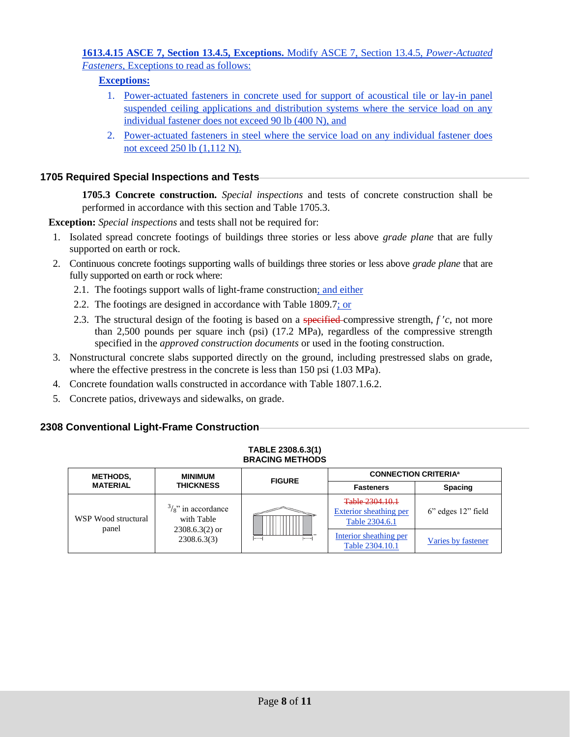# **[1613.4.15](https://www.oregon.gov/bcd/codes-stand/code-adoption/Documents/st-19-SEAO-14-proposal.pdf) ASCE 7, Section 13.4.5, Exceptions.** Modify ASCE 7, Section 13.4.5, *Power-Actuated Fasteners*, Exceptions to read as follows:

# **Exceptions:**

- 1. Power-actuated fasteners in concrete used for support of acoustical tile or lay-in panel suspended ceiling applications and distribution systems where the service load on any individual fastener does not exceed 90 lb (400 N), and
- 2. Power-actuated fasteners in steel where the service load on any individual fastener does not exceed 250 lb (1,112 N).

# **1705 Required Special Inspections and Tests**

**1705.3 Concrete construction.** *Special inspections* and tests of concrete construction shall be performed in accordance with this section and Table 1705.3.

**Exception:** *Special inspections* and tests shall not be required for:

- 1. Isolated spread concrete footings of buildings three stories or less above *grade plane* that are fully supported on earth or rock.
- 2. Continuous concrete footings supporting walls of buildings three stories or less above *grade plane* that are fully supported on earth or rock where:
	- 2.1. The footings support walls of light-frame construction; and either
	- 2.2. The footings are designed in accordance with Table 1809.7; or
	- 2.3. The structural design of the footing is based on a specified compressive strength, *f c*, not more than 2,500 pounds per square inch (psi) (17.2 MPa), regardless of the compressive strength specified in the *approved construction documents* or used in the footing construction.
- 3. Nonstructural concrete slabs supported directly on the ground, including prestressed slabs on grade, where the effective prestress in the concrete is less than 150 psi  $(1.03 \text{ MPa})$ .
- 4. Concrete foundation walls constructed in accordance with Table 1807.1.6.2.
- 5. Concrete patios, driveways and sidewalks, on grade.

# **2308 Conventional Light-Frame Construction**

| <b>BRACING METHODS</b>       |                                                                                |               |                                                             |                          |  |
|------------------------------|--------------------------------------------------------------------------------|---------------|-------------------------------------------------------------|--------------------------|--|
| <b>METHODS,</b>              | <b>MINIMUM</b>                                                                 | <b>FIGURE</b> | <b>CONNECTION CRITERIA<sup>a</sup></b>                      |                          |  |
| <b>MATERIAL</b>              | <b>THICKNESS</b>                                                               |               | <b>Fasteners</b>                                            | <b>Spacing</b>           |  |
| WSP Wood structural<br>panel | $\frac{3}{8}$ " in accordance<br>with Table<br>$2308.6.3(2)$ or<br>2308.6.3(3) |               | Table 2304.10.1<br>Exterior sheathing per<br>Table 2304.6.1 | $6$ " edges $12$ " field |  |
|                              |                                                                                |               | Interior sheathing per<br>Table 2304.10.1                   | Varies by fastener       |  |

**TABLE 2308.6.3(1)**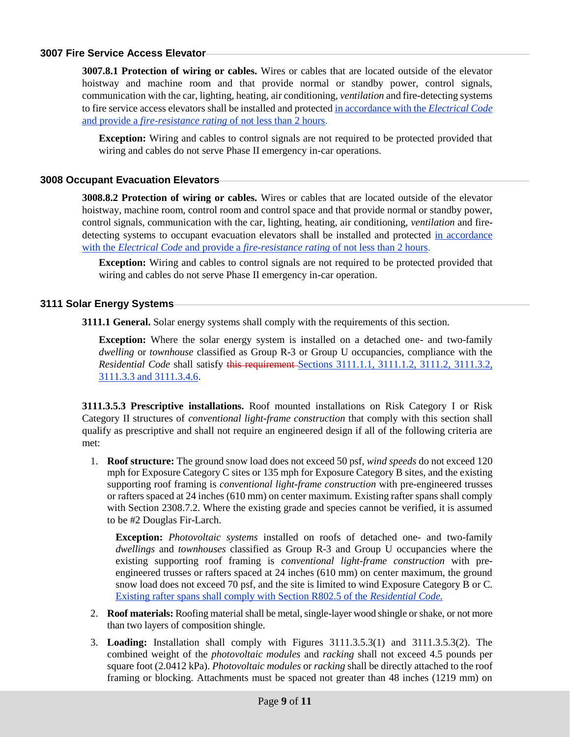# **3007 Fire Service Access Elevator**

**3007.8.1 Protection of wiring or cables.** Wires or cables that are located outside of the elevator hoistway and machine room and that provide normal or standby power, control signals, communication with the car, lighting, heating, air conditioning, *ventilation* and fire-detecting systems to fire service access elevators shall be installed and protected in accordance with the *Electrical Code* and provide a *fire-resistance rating* of not less than 2 hours.

**Exception:** Wiring and cables to control signals are not required to be protected provided that wiring and cables do not serve Phase II emergency in-car operations.

#### **3008 Occupant Evacuation Elevators**

**3008.8.2 Protection of wiring or cables.** Wires or cables that are located outside of the elevator hoistway, machine room, control room and control space and that provide normal or standby power, control signals, communication with the car, lighting, heating, air conditioning, *ventilation* and firedetecting systems to occupant evacuation elevators shall be installed and protected in accordance with the *Electrical Code* and provide a *fire-resistance rating* of not less than 2 hours.

**Exception:** Wiring and cables to control signals are not required to be protected provided that wiring and cables do not serve Phase II emergency in-car operation.

#### **3111 Solar Energy Systems**

**3111.1 General.** Solar energy systems shall comply with the requirements of this section.

**Exception:** Where the solar energy system is installed on a detached one- and two-family *dwelling* or *townhouse* classified as Group R-3 or Group U occupancies, compliance with the *Residential Code shall satisfy this requirement-Sections 3111.1.1, 3111.1.2, 3111.2, 3111.3.2,* 3111.3.3 and 3111.3.4.6.

**3111.3.5.3 Prescriptive installations.** Roof mounted installations on Risk Category I or Risk Category II structures of *conventional light-frame construction* that comply with this section shall qualify as prescriptive and shall not require an engineered design if all of the following criteria are met:

1. **Roof structure:** The ground snow load does not exceed 50 psf, *wind speeds* do not exceed 120 mph for Exposure Category C sites or 135 mph for Exposure Category B sites, and the existing supporting roof framing is *conventional light-frame construction* with pre-engineered trusses or rafters spaced at 24 inches (610 mm) on center maximum. Existing rafter spans shall comply with Section 2308.7.2. Where the existing grade and species cannot be verified, it is assumed to be #2 Douglas Fir-Larch.

**Exception:** *Photovoltaic systems* installed on roofs of detached one- and two-family *dwellings* and *townhouses* classified as Group R-3 and Group U occupancies where the existing supporting roof framing is *conventional light-frame construction* with preengineered trusses or rafters spaced at 24 inches (610 mm) on center maximum, the ground snow load does not exceed 70 psf, and the site is limited to wind Exposure Category B or C. Existing rafter spans shall comply with Section R802.5 of the *Residential Code.*

- 2. **Roof materials:** Roofing material shall be metal, single-layer wood shingle or shake, or not more than two layers of composition shingle.
- 3. **Loading:** Installation shall comply with Figures 3111.3.5.3(1) and 3111.3.5.3(2). The combined weight of the *photovoltaic modules* and *racking* shall not exceed 4.5 pounds per square foot (2.0412 kPa). *Photovoltaic modules* or *racking* shall be directly attached to the roof framing or blocking. Attachments must be spaced not greater than 48 inches (1219 mm) on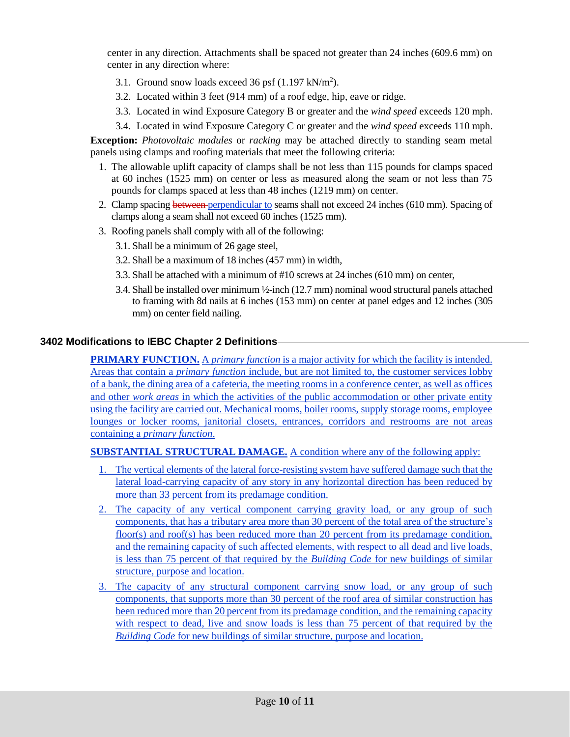center in any direction. Attachments shall be spaced not greater than 24 inches (609.6 mm) on center in any direction where:

- 3.1. Ground snow loads exceed 36 psf  $(1.197 \text{ kN/m}^2)$ .
- 3.2. Located within 3 feet (914 mm) of a roof edge, hip, eave or ridge.
- 3.3. Located in wind Exposure Category B or greater and the *wind speed* exceeds 120 mph.
- 3.4. Located in wind Exposure Category C or greater and the *wind speed* exceeds 110 mph.

**Exception:** *Photovoltaic modules* or *racking* may be attached directly to standing seam metal panels using clamps and roofing materials that meet the following criteria:

- 1. The allowable uplift capacity of clamps shall be not less than 115 pounds for clamps spaced at 60 inches (1525 mm) on center or less as measured along the seam or not less than 75 pounds for clamps spaced at less than 48 inches (1219 mm) on center.
- 2. Clamp spacing between perpendicular to seams shall not exceed 24 inches (610 mm). Spacing of clamps along a seam shall not exceed 60 inches (1525 mm).
- 3. Roofing panels shall comply with all of the following:
	- 3.1. Shall be a minimum of 26 gage steel,
	- 3.2. Shall be a maximum of 18 inches (457 mm) in width,
	- 3.3. Shall be attached with a minimum of #10 screws at 24 inches (610 mm) on center,
	- 3.4. Shall be installed over minimum ½-inch (12.7 mm) nominal wood structural panels attached to framing with 8d nails at 6 inches (153 mm) on center at panel edges and 12 inches (305 mm) on center field nailing.

# **3402 Modifications to IEBC Chapter 2 Definitions**

**PRIMARY FUNCTION.** A *primary function* is a major activity for which the facility is intended. Areas that contain a *primary function* include, but are not limited to, the customer services lobby of a bank, the dining area of a cafeteria, the meeting rooms in a conference center, as well as offices and other *work areas* in which the activities of the public accommodation or other private entity using the facility are carried out. Mechanical rooms, boiler rooms, supply storage rooms, employee lounges or locker rooms, janitorial closets, entrances, corridors and restrooms are not areas containing a *primary function*.

**SUBSTANTIAL STRUCTURAL DAMAGE.** A condition where any of the following apply:

- 1. The vertical elements of the lateral force-resisting system have suffered damage such that the lateral load-carrying capacity of any story in any horizontal direction has been reduced by more than 33 percent from its predamage condition.
- 2. The capacity of any vertical component carrying gravity load, or any group of such components, that has a tributary area more than 30 percent of the total area of the structure's floor(s) and roof(s) has been reduced more than 20 percent from its predamage condition, and the remaining capacity of such affected elements, with respect to all dead and live loads, is less than 75 percent of that required by the *Building Code* for new buildings of similar structure, purpose and location.
- 3. The capacity of any structural component carrying snow load, or any group of such components, that supports more than 30 percent of the roof area of similar construction has been reduced more than 20 percent from its predamage condition, and the remaining capacity with respect to dead, live and snow loads is less than 75 percent of that required by the *Building Code* for new buildings of similar structure, purpose and location.